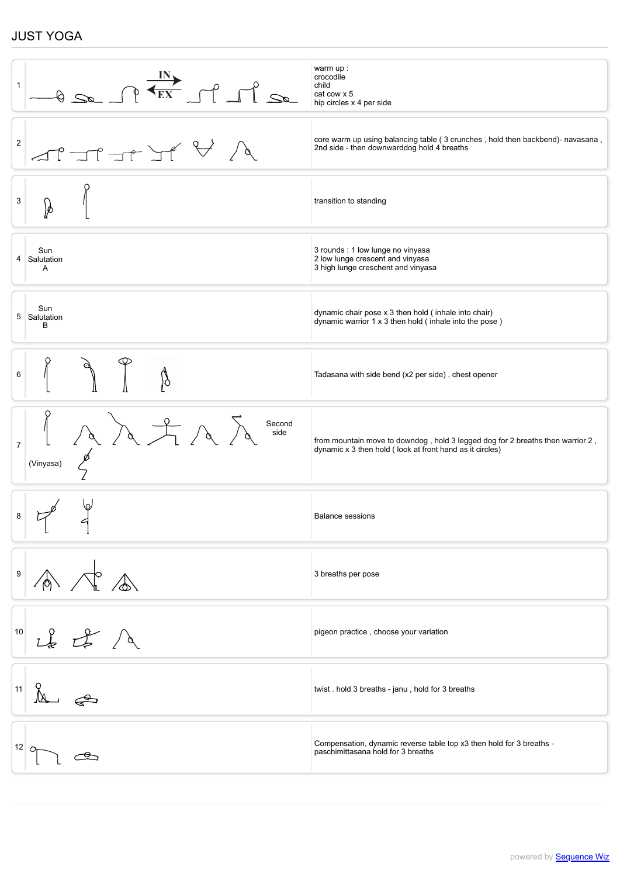## JUST YOGA